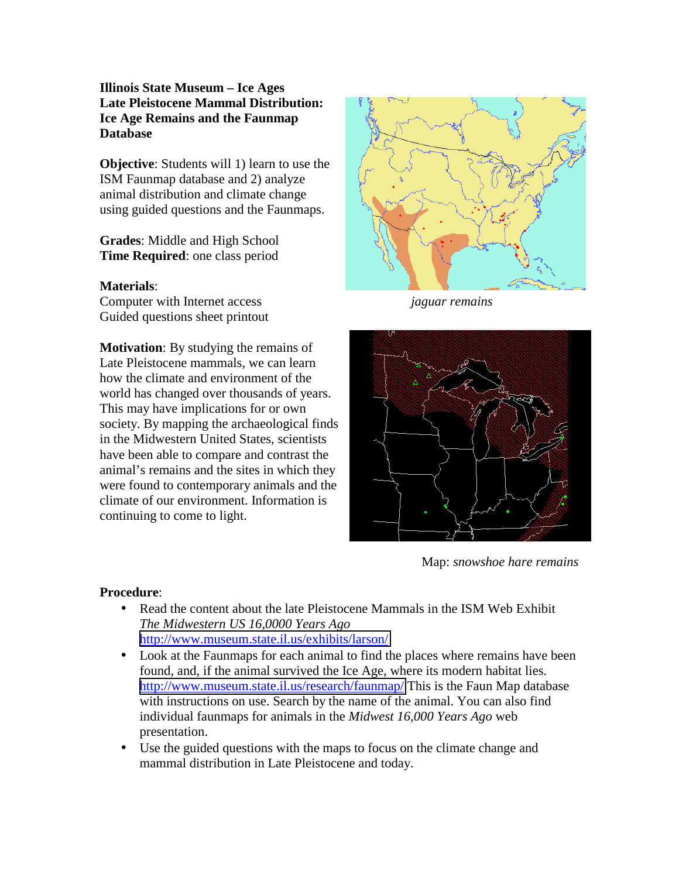# **Illinois State Museum – Ice Ages Late Pleistocene Mammal Distribution: Ice Age Remains and the Faunmap Database**

**Objective**: Students will 1) learn to use the ISM Faunmap database and 2) analyze animal distribution and climate change using guided questions and the Faunmaps.

**Grades**: Middle and High School **Time Required**: one class period

#### **Materials**:

Computer with Internet access *jaguar remains* Guided questions sheet printout

**Motivation**: By studying the remains of Late Pleistocene mammals, we can learn how the climate and environment of the world has changed over thousands of years. This may have implications for or own society. By mapping the archaeological finds in the Midwestern United States, scientists have been able to compare and contrast the animal's remains and the sites in which they were found to contemporary animals and the climate of our environment. Information is continuing to come to light.





Map: *snowshoe hare remains*

#### **Procedure**:

- Read the content about the late Pleistocene Mammals in the ISM Web Exhibit *The Midwestern US 16,0000 Years Ago*  <http://www.museum.state.il.us/exhibits/larson/>
- Look at the Faunmaps for each animal to find the places where remains have been found, and, if the animal survived the Ice Age, where its modern habitat lies. <http://www.museum.state.il.us/research/faunmap/>This is the Faun Map database with instructions on use. Search by the name of the animal. You can also find individual faunmaps for animals in the *Midwest 16,000 Years Ago* web presentation.
- Use the guided questions with the maps to focus on the climate change and mammal distribution in Late Pleistocene and today.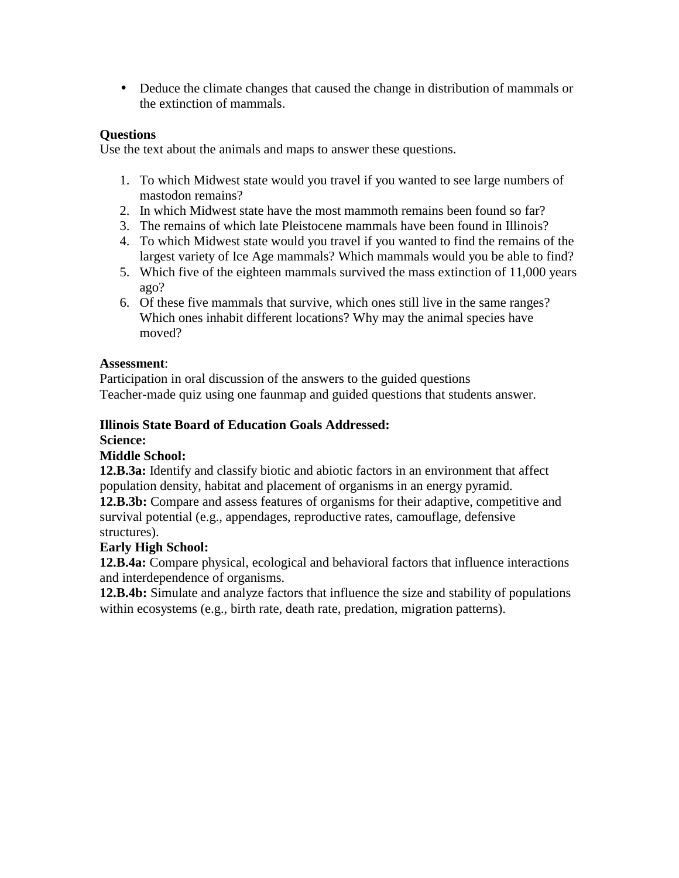• Deduce the climate changes that caused the change in distribution of mammals or the extinction of mammals.

# **Questions**

Use the text about the animals and maps to answer these questions.

- 1. To which Midwest state would you travel if you wanted to see large numbers of mastodon remains?
- 2. In which Midwest state have the most mammoth remains been found so far?
- 3. The remains of which late Pleistocene mammals have been found in Illinois?
- 4. To which Midwest state would you travel if you wanted to find the remains of the largest variety of Ice Age mammals? Which mammals would you be able to find?
- 5. Which five of the eighteen mammals survived the mass extinction of 11,000 years ago?
- 6. Of these five mammals that survive, which ones still live in the same ranges? Which ones inhabit different locations? Why may the animal species have moved?

# **Assessment**:

Participation in oral discussion of the answers to the guided questions Teacher-made quiz using one faunmap and guided questions that students answer.

# **Illinois State Board of Education Goals Addressed:**

**Science:** 

# **Middle School:**

**12.B.3a:** Identify and classify biotic and abiotic factors in an environment that affect population density, habitat and placement of organisms in an energy pyramid.

**12.B.3b:** Compare and assess features of organisms for their adaptive, competitive and survival potential (e.g., appendages, reproductive rates, camouflage, defensive structures).

# **Early High School:**

**12.B.4a:** Compare physical, ecological and behavioral factors that influence interactions and interdependence of organisms.

**12.B.4b:** Simulate and analyze factors that influence the size and stability of populations within ecosystems (e.g., birth rate, death rate, predation, migration patterns).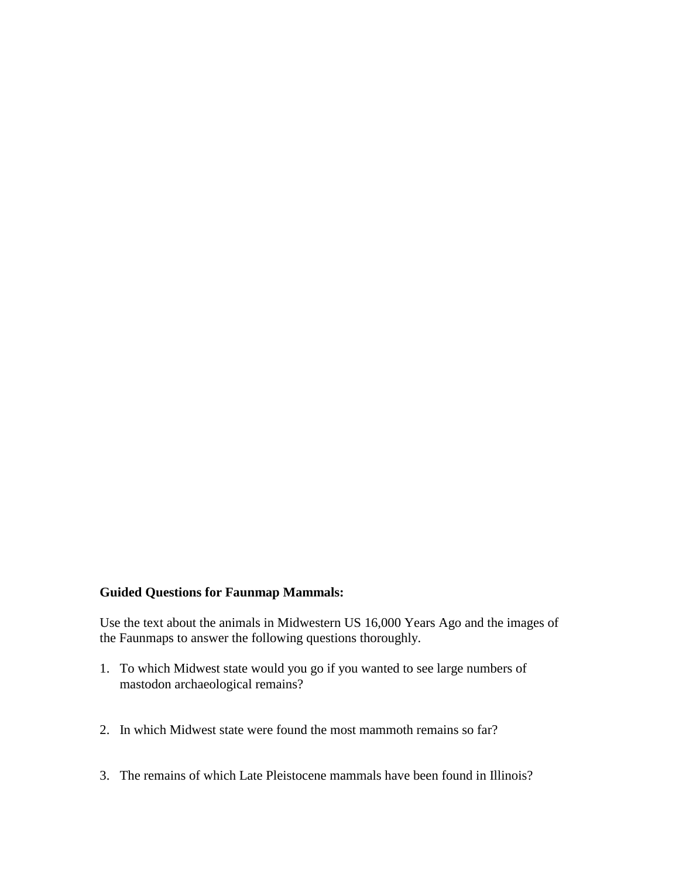#### **Guided Questions for Faunmap Mammals:**

Use the text about the animals in Midwestern US 16,000 Years Ago and the images of the Faunmaps to answer the following questions thoroughly.

- 1. To which Midwest state would you go if you wanted to see large numbers of mastodon archaeological remains?
- 2. In which Midwest state were found the most mammoth remains so far?
- 3. The remains of which Late Pleistocene mammals have been found in Illinois?